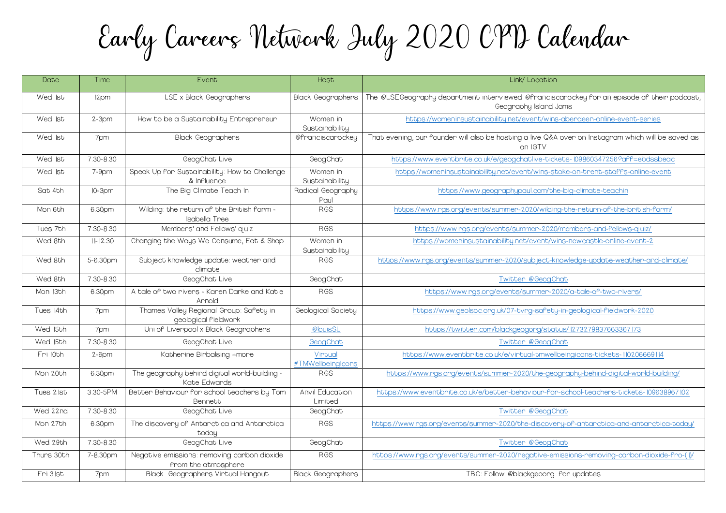Early Careers Network Iuly 2020 CPD Calendar

| Date       | Time       | Event                                                              | Host                              | Link/ Location                                                                         |
|------------|------------|--------------------------------------------------------------------|-----------------------------------|----------------------------------------------------------------------------------------|
| Wed Ist    | 12pm       | LSE x Black Geographers                                            | <b>Black Geographers</b>          | The @LSEGeography department interviewed @franciscarockey for<br>Geography Island Jams |
| Wed Ist    | $2-3$ pm   | How to be a Sustainability Entrepreneur                            | Women in<br>Sustainability        | https://womeninsustainability.net/event/wins-abendeen-o                                |
| Wed Ist    | 7pm        | <b>Black Geographers</b>                                           | @franciscarockey                  | That evening, our founder will also be hosting a live Q&A over on Inst<br>an IGTV      |
| Wed Ist    | 7.30-8.30  | GeogChat Live                                                      | GeogChat                          | https://www.eventbrite.co.uk/e/geogchatlive-tickets-10986034                           |
| Wed Ist    | $7-9$ pm   | Speak Up for Sustainability: How to Challenge<br>& Influence       | Women in<br>Sustainability        | https://womeninsustainability.net/event/wins-stoke-on-trent                            |
| Sat 4th    | $IO-3pm$   | The Big Climate Teach In                                           | Radical Geography                 | https://www.geographypaul.com/the-big-climate                                          |
| Mon 6th    | 6.30pm     | Wilding: the neturn of the British farm -<br><b>Isabella Tree</b>  | Paul<br><b>RGS</b>                | https://www.rgs.org/events/summer-2020/wilding-the-return                              |
| Tues 7th   | 7.30-8.30  | Membens' and Fellows' quiz                                         | <b>RGS</b>                        | https://www.rgs.org/events/summer-2020/members-ar                                      |
| Wed 8th    | $  - 2.30$ | Changing the Ways We Consume, Eat & Shop                           | Women in<br>Sustainability        | https://womeninsustainability.net/event/wins-newcastle                                 |
| Wed 8th    | 5-6.30pm   | Subject knowledge update: weather and<br>climate                   | <b>RGS</b>                        | https://www.ngs.ong/events/summen-2020/subject-knowledge-upc                           |
| Wed 8th    | 7.30-8.30  | GeogChat Live                                                      | GeogChat                          | Twitter @GeogChat                                                                      |
| Mon 13th   | 6.30pm     | A tale of two nivens - Kanen Danke and Katie<br>Arnold             | <b>RGS</b>                        | https://www.ngs.ong/events/summer-2020/a-tale-of                                       |
| Tues 14th  | 7pm        | Thames Valley Regional Group: Safety in<br>geological fieldwork    | Geological Society                | https://www.geolsoc.org.uk/07-tvrg-safety-in-geologica                                 |
| Wed 15th   | 7pm        | Uni of Liverpool x Black Geographers                               | @louisSL                          | https://twitten.com/blackgeogong/status/12732798                                       |
| Wed 15th   | 7.30-8.30  | GeogChat Live                                                      | GeogChat                          | Twitter @GeogChat                                                                      |
| Fri l0th   | $2-6$ pm   | Katherine Birbalsing +more                                         | Virtual<br>#TMWellbeingIcons      | https://www.eventbrite.co.uk/e/virtual-tmwellbeingicons-ti                             |
| Mon 20th   | 6.30pm     | The geography behind digital world-building -<br>Kate Edwards      | <b>RGS</b>                        | https://www.ngs.ong/events/summen-2020/the-geognaphy-behir                             |
| Tues 2 lst | 3.30-5PM   | Better Behaviour for school teachers by Tom<br>Bennett             | <b>Anvil Education</b><br>Limited | https://www.eventbnite.co.uk/e/better-behaviour-for-school-teac                        |
| Wed 22nd   | 7.30-8.30  | GeogChat Live                                                      | GeogChat                          | Twitter @GeogChat                                                                      |
| Mon 27th   | 6.30pm     | The discovery of Antarctica and Antarctica<br>today                | <b>RGS</b>                        | https://www.ngs.ong/events/summen-2020/the-discoveny-of-antanc                         |
| Wed 29th   | 7.30-8.30  | GeogChat Live                                                      | GeogChat                          | Twitter @GeogChat                                                                      |
| Thuns 30th | 7-8.30pm   | Negative emissions: nemoving canbon dioxide<br>from the atmosphere | <b>RGS</b>                        | https://www.ngs.ong/events/summen-2020/negative-emissions-nemo                         |
| Fri 3 lst  | 7pm        | Black Geographers Virtual Hangout                                  | <b>Black Geographers</b>          | TBC: Follow @blackgeoorg for updates                                                   |

ciscarockey for an episode of their podcast, nd Jams

ins-abendeen-online-event-series

&A over on Instagram which will be saved as

Lickets-109860347256?aff=ebdssbeac

-stoke-on-trent-staffs-online-event

the-big-climate-teachin

ding-the-return-of-the-british-farm/

120/members-and-fellows-quiz/

https-newcastle-online-event-2

t-knowledge-update-weather-and-climate/

-2020/a-tale-of-two-rivers/

ety-in-geological-fieldwork-2020

tatus/ 1273279837663367 l73

vellbeingicons-tickets-110206669114

reography-behind-digital-world-building/

for-school-teachers-tickets-109638967102

RGS [https://www.rgs.org/events/summer-2020/the-discovery-of-antarctica-and-antarctica-today/](https://www.youtube.com/channel/UCyQwdKOrh0_AmTGqoDhQG5Q/videos)

emissions-removing-carbon-dioxide-fro-(1)/